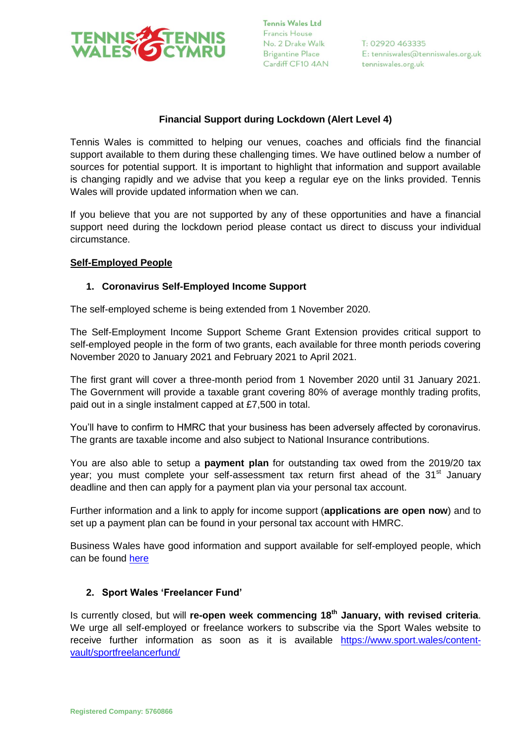

## **Financial Support during Lockdown (Alert Level 4)**

Tennis Wales is committed to helping our venues, coaches and officials find the financial support available to them during these challenging times. We have outlined below a number of sources for potential support. It is important to highlight that information and support available is changing rapidly and we advise that you keep a regular eye on the links provided. Tennis Wales will provide updated information when we can.

If you believe that you are not supported by any of these opportunities and have a financial support need during the lockdown period please contact us direct to discuss your individual circumstance.

### **Self-Employed People**

### **1. Coronavirus Self-Employed Income Support**

The self-employed scheme is being extended from 1 November 2020.

The Self-Employment Income Support Scheme Grant Extension provides critical support to self-employed people in the form of two grants, each available for three month periods covering November 2020 to January 2021 and February 2021 to April 2021.

The first grant will cover a three-month period from 1 November 2020 until 31 January 2021. The Government will provide a taxable grant covering 80% of average monthly trading profits, paid out in a single instalment capped at £7,500 in total.

You'll have to confirm to HMRC that your business has been adversely affected by coronavirus. The grants are taxable income and also subject to National Insurance contributions.

You are also able to setup a **payment plan** for outstanding tax owed from the 2019/20 tax year; you must complete your self-assessment tax return first ahead of the  $31<sup>st</sup>$  January deadline and then can apply for a payment plan via your personal tax account.

Further information and a link to apply for income support (**applications are open now**) and to set up a payment plan can be found in your personal tax account with HMRC.

Business Wales have good information and support available for self-employed people, which can be found [here](https://businesswales.gov.wales/coronavirus-advice/self-employed)

### **2. Sport Wales 'Freelancer Fund'**

Is currently closed, but will **re-open week commencing 18th January, with revised criteria**. We urge all self-employed or freelance workers to subscribe via the Sport Wales website to receive further information as soon as it is available [https://www.sport.wales/content](https://www.sport.wales/content-vault/sportfreelancerfund/)[vault/sportfreelancerfund/](https://www.sport.wales/content-vault/sportfreelancerfund/)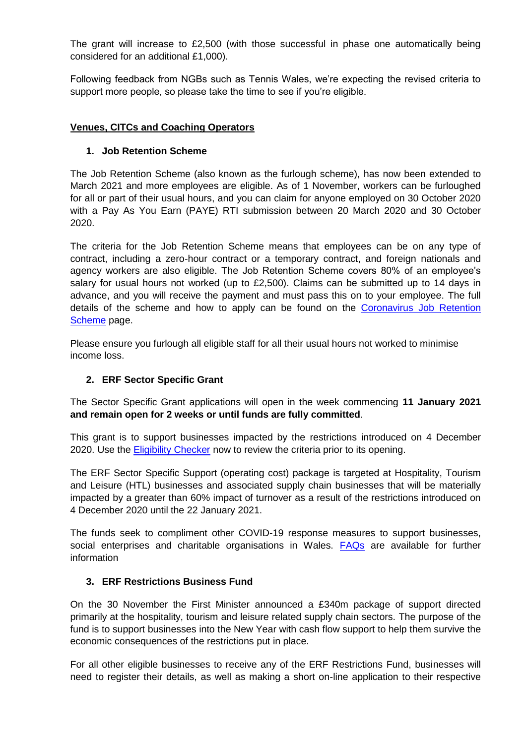The grant will increase to £2,500 (with those successful in phase one automatically being considered for an additional £1,000).

Following feedback from NGBs such as Tennis Wales, we're expecting the revised criteria to support more people, so please take the time to see if you're eligible.

## **Venues, CITCs and Coaching Operators**

## **1. Job Retention Scheme**

The Job Retention Scheme (also known as the furlough scheme), has now been extended to March 2021 and more employees are eligible. As of 1 November, workers can be furloughed for all or part of their usual hours, and you can claim for anyone employed on 30 October 2020 with a Pay As You Earn (PAYE) RTI submission between 20 March 2020 and 30 October 2020.

The criteria for the Job Retention Scheme means that employees can be on any type of contract, including a zero-hour contract or a temporary contract, and foreign nationals and agency workers are also eligible. The Job Retention Scheme covers 80% of an employee's salary for usual hours not worked (up to £2,500). Claims can be submitted up to 14 days in advance, and you will receive the payment and must pass this on to your employee. The full details of the scheme and how to apply can be found on the [Coronavirus Job Retention](https://www.gov.uk/government/collections/coronavirus-job-retention-scheme)  [Scheme](https://www.gov.uk/government/collections/coronavirus-job-retention-scheme) page.

Please ensure you furlough all eligible staff for all their usual hours not worked to minimise income loss.

# **2. ERF Sector Specific Grant**

The Sector Specific Grant applications will open in the week commencing **11 January 2021 and remain open for 2 weeks or until funds are fully committed**.

This grant is to support businesses impacted by the restrictions introduced on 4 December 2020. Use the **Eligibility Checker** now to review the criteria prior to its opening.

The ERF Sector Specific Support (operating cost) package is targeted at Hospitality, Tourism and Leisure (HTL) businesses and associated supply chain businesses that will be materially impacted by a greater than 60% impact of turnover as a result of the restrictions introduced on 4 December 2020 until the 22 January 2021.

The funds seek to compliment other COVID-19 response measures to support businesses, social enterprises and charitable organisations in Wales. **[FAQs](https://businesswales.gov.wales/economic-resilience-fund-erf-sector-specific-fund)** are available for further information

# **3. ERF Restrictions Business Fund**

On the 30 November the First Minister announced a £340m package of support directed primarily at the hospitality, tourism and leisure related supply chain sectors. The purpose of the fund is to support businesses into the New Year with cash flow support to help them survive the economic consequences of the restrictions put in place.

For all other eligible businesses to receive any of the ERF Restrictions Fund, businesses will need to register their details, as well as making a short on-line application to their respective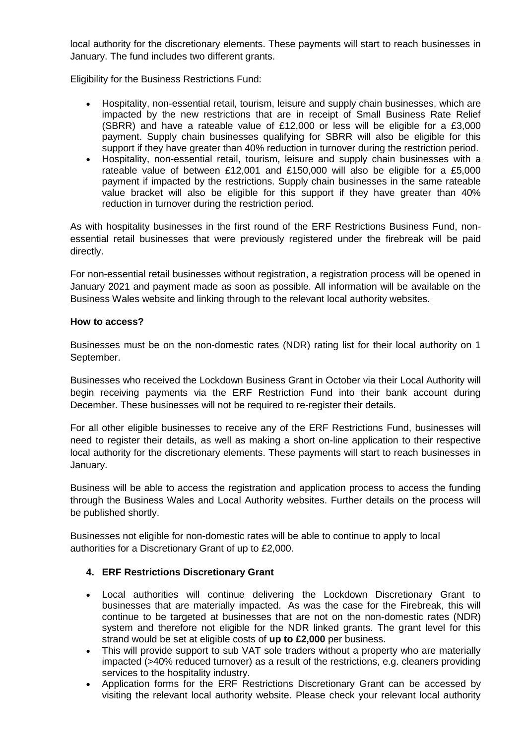local authority for the discretionary elements. These payments will start to reach businesses in January. The fund includes two different grants.

Eligibility for the Business Restrictions Fund:

- Hospitality, non-essential retail, tourism, leisure and supply chain businesses, which are impacted by the new restrictions that are in receipt of Small Business Rate Relief (SBRR) and have a rateable value of £12,000 or less will be eligible for a £3,000 payment. Supply chain businesses qualifying for SBRR will also be eligible for this support if they have greater than 40% reduction in turnover during the restriction period.
- Hospitality, non-essential retail, tourism, leisure and supply chain businesses with a rateable value of between £12,001 and £150,000 will also be eligible for a £5,000 payment if impacted by the restrictions. Supply chain businesses in the same rateable value bracket will also be eligible for this support if they have greater than 40% reduction in turnover during the restriction period.

As with hospitality businesses in the first round of the ERF Restrictions Business Fund, nonessential retail businesses that were previously registered under the firebreak will be paid directly.

For non-essential retail businesses without registration, a registration process will be opened in January 2021 and payment made as soon as possible. All information will be available on the Business Wales website and linking through to the relevant local authority websites.

### **How to access?**

Businesses must be on the non-domestic rates (NDR) rating list for their local authority on 1 September.

Businesses who received the Lockdown Business Grant in October via their Local Authority will begin receiving payments via the ERF Restriction Fund into their bank account during December. These businesses will not be required to re-register their details.

For all other eligible businesses to receive any of the ERF Restrictions Fund, businesses will need to register their details, as well as making a short on-line application to their respective local authority for the discretionary elements. These payments will start to reach businesses in January.

Business will be able to access the registration and application process to access the funding through the Business Wales and Local Authority websites. Further details on the process will be published shortly.

Businesses not eligible for non-domestic rates will be able to continue to apply to local authorities for a Discretionary Grant of up to £2,000.

### **4. ERF Restrictions Discretionary Grant**

- Local authorities will continue delivering the Lockdown Discretionary Grant to businesses that are materially impacted. As was the case for the Firebreak, this will continue to be targeted at businesses that are not on the non-domestic rates (NDR) system and therefore not eligible for the NDR linked grants. The grant level for this strand would be set at eligible costs of **up to £2,000** per business.
- This will provide support to sub VAT sole traders without a property who are materially impacted (>40% reduced turnover) as a result of the restrictions, e.g. cleaners providing services to the hospitality industry.
- Application forms for the ERF Restrictions Discretionary Grant can be accessed by visiting the relevant local authority website. Please check your relevant local authority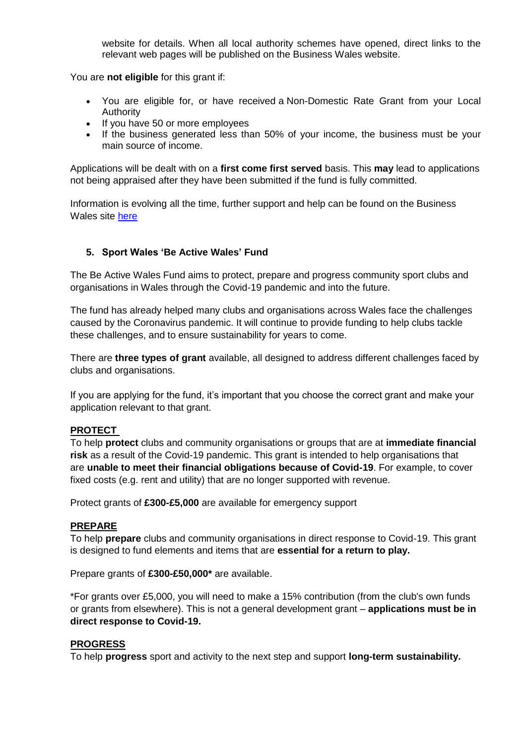website for details. When all local authority schemes have opened, direct links to the relevant web pages will be published on the Business Wales website.

You are **not eligible** for this grant if:

- You are eligible for, or have received a Non-Domestic Rate Grant from your Local Authority
- If you have 50 or more employees
- If the business generated less than 50% of your income, the business must be your main source of income.

Applications will be dealt with on a **first come first served** basis. This **may** lead to applications not being appraised after they have been submitted if the fund is fully committed.

Information is evolving all the time, further support and help can be found on the Business Wales site [here](https://businesswales.gov.wales/coronavirus-advice/?_ga=2.98129183.1695685499.1603359110-1559196587.1602064027)

### **5. Sport Wales 'Be Active Wales' Fund**

The Be Active Wales Fund aims to protect, prepare and progress community sport clubs and organisations in Wales through the Covid-19 pandemic and into the future.

The fund has already helped many clubs and organisations across Wales face the challenges caused by the Coronavirus pandemic. It will continue to provide funding to help clubs tackle these challenges, and to ensure sustainability for years to come.

There are **three types of grant** available, all designed to address different challenges faced by clubs and organisations.

If you are applying for the fund, it's important that you choose the correct grant and make your application relevant to that grant.

#### **PROTECT**

To help **protect** clubs and community organisations or groups that are at **immediate financial risk** as a result of the Covid-19 pandemic. This grant is intended to help organisations that are **unable to meet their financial obligations because of Covid-19**. For example, to cover fixed costs (e.g. rent and utility) that are no longer supported with revenue.

Protect grants of **£300-£5,000** are available for emergency support

#### **PREPARE**

To help **prepare** clubs and community organisations in direct response to Covid-19. This grant is designed to fund elements and items that are **essential for a return to play.**

Prepare grants of **£300-£50,000\*** are available.

\*For grants over £5,000, you will need to make a 15% contribution (from the club's own funds or grants from elsewhere). This is not a general development grant – **applications must be in direct response to Covid-19.**

#### **PROGRESS**

To help **progress** sport and activity to the next step and support **long-term sustainability.**